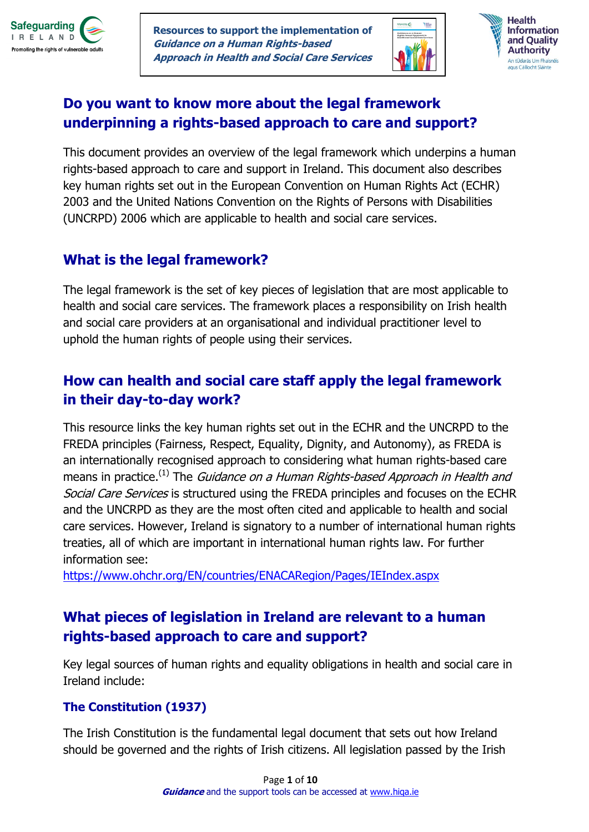

**Resources to support the implementation of Guidance on a Human Rights-based Approach in Health and Social Care Services**





## **Do you want to know more about the legal framework underpinning a rights-based approach to care and support?**

This document provides an overview of the legal framework which underpins a human rights-based approach to care and support in Ireland. This document also describes key human rights set out in the European Convention on Human Rights Act (ECHR) 2003 and the United Nations Convention on the Rights of Persons with Disabilities (UNCRPD) 2006 which are applicable to health and social care services.

## **What is the legal framework?**

The legal framework is the set of key pieces of legislation that are most applicable to health and social care services. The framework places a responsibility on Irish health and social care providers at an organisational and individual practitioner level to uphold the human rights of people using their services.

# **How can health and social care staff apply the legal framework in their day-to-day work?**

This resource links the key human rights set out in the ECHR and the UNCRPD to the FREDA principles (Fairness, Respect, Equality, Dignity, and Autonomy), as FREDA is an internationally recognised approach to considering what human rights-based care means in practice.<sup>(1)</sup> The *Guidance on a Human Rights-based Approach in Health and* Social Care Services is structured using the FREDA principles and focuses on the ECHR and the UNCRPD as they are the most often cited and applicable to health and social care services. However, Ireland is signatory to a number of international human rights treaties, all of which are important in international human rights law. For further information see:

[https://www.ohchr.org/EN/countries/ENACARegion/Pages/IEIndex.aspx](https://scanmail.trustwave.com/?c=17268&d=-YDs3W9B4N7RgM4ErzYgtlYEgDs0W_Uv2H6Q8FdkMw&s=226&u=https%3a%2f%2fwww%2eohchr%2eorg%2fEN%2fcountries%2fENACARegion%2fPages%2fIEIndex%2easpx)

# **What pieces of legislation in Ireland are relevant to a human rights-based approach to care and support?**

Key legal sources of human rights and equality obligations in health and social care in Ireland include:

## **The Constitution (1937)**

The Irish Constitution is the fundamental legal document that sets out how Ireland should be governed and the rights of Irish citizens. All legislation passed by the Irish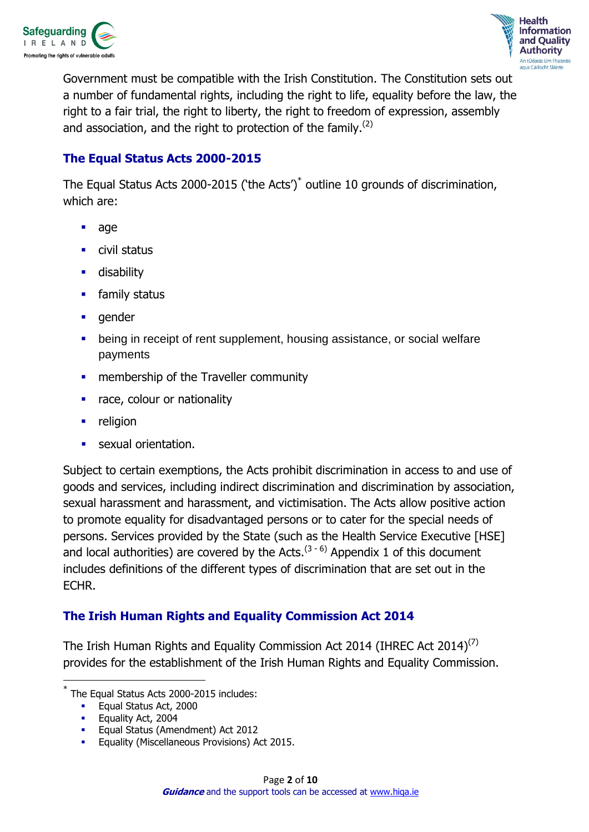



Government must be compatible with the Irish Constitution. The Constitution sets out a number of fundamental rights, including the right to life, equality before the law, the right to a fair trial, the right to liberty, the right to freedom of expression, assembly and association, and the right to protection of the family. $(2)$ 

### **The Equal Status Acts 2000-2015**

The Equal Status Acts 2000-2015 ('the Acts')<sup>\*</sup> outline 10 grounds of discrimination, which are:

- age
- civil status
- **-** disability
- **F** family status
- **gender**
- being in receipt of rent supplement, housing assistance, or social welfare payments
- **EXECUTE:** membership of the Traveller community
- race, colour or nationality
- $\blacksquare$  religion
- sexual orientation.

Subject to certain exemptions, the Acts prohibit discrimination in access to and use of goods and services, including indirect discrimination and discrimination by association, sexual harassment and harassment, and victimisation. The Acts allow positive action to promote equality for disadvantaged persons or to cater for the special needs of persons. Services provided by the State (such as the Health Service Executive [HSE] and local authorities) are covered by the Acts.<sup>(3-6)</sup> Appendix 1 of this document includes definitions of the different types of discrimination that are set out in the ECHR.

### **The Irish Human Rights and Equality Commission Act 2014**

The Irish Human Rights and Equality Commission Act 2014 (IHREC Act 2014)<sup>(7)</sup> provides for the establishment of the Irish Human Rights and Equality Commission.

 $\overline{\phantom{a}}$ 

<sup>\*</sup> The Equal Status Acts 2000-2015 includes:

**Equal Status Act, 2000** 

Equality Act, 2004

**Equal Status (Amendment) Act 2012** 

Equality (Miscellaneous Provisions) Act 2015.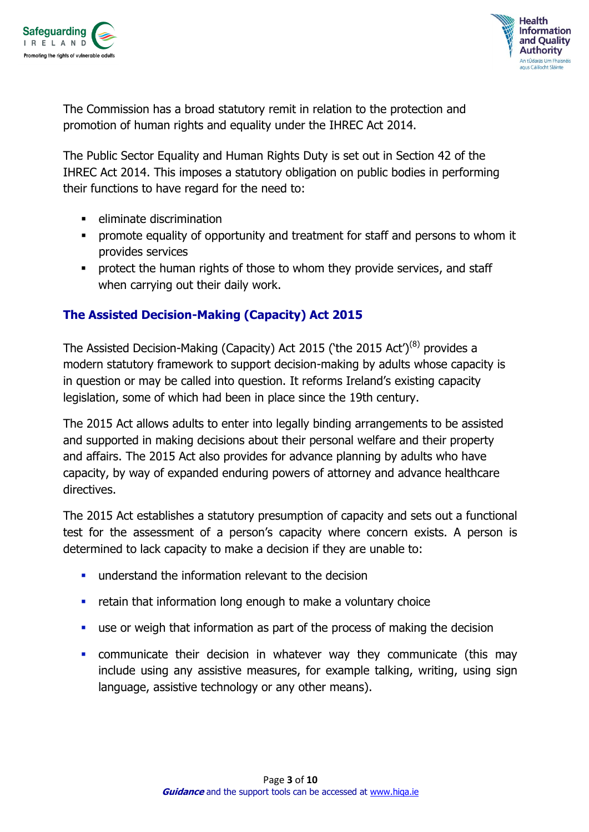



The Commission has a broad statutory remit in relation to the protection and promotion of human rights and equality under the IHREC Act 2014.

The Public Sector Equality and Human Rights Duty is set out in Section 42 of the IHREC Act 2014. This imposes a statutory obligation on public bodies in performing their functions to have regard for the need to:

- $\blacksquare$  eliminate discrimination
- promote equality of opportunity and treatment for staff and persons to whom it provides services
- **•** protect the human rights of those to whom they provide services, and staff when carrying out their daily work.

### **The Assisted Decision-Making (Capacity) Act 2015**

The Assisted Decision-Making (Capacity) Act 2015 ('the 2015 Act')<sup>(8)</sup> provides a modern statutory framework to support decision-making by adults whose capacity is in question or may be called into question. It reforms Ireland's existing capacity legislation, some of which had been in place since the 19th century.

The 2015 Act allows adults to enter into legally binding arrangements to be assisted and supported in making decisions about their personal welfare and their property and affairs. The 2015 Act also provides for advance planning by adults who have capacity, by way of expanded enduring powers of attorney and advance healthcare directives.

The 2015 Act establishes a statutory presumption of capacity and sets out a functional test for the assessment of a person's capacity where concern exists. A person is determined to lack capacity to make a decision if they are unable to:

- understand the information relevant to the decision
- **F** retain that information long enough to make a voluntary choice
- use or weigh that information as part of the process of making the decision
- communicate their decision in whatever way they communicate (this may include using any assistive measures, for example talking, writing, using sign language, assistive technology or any other means).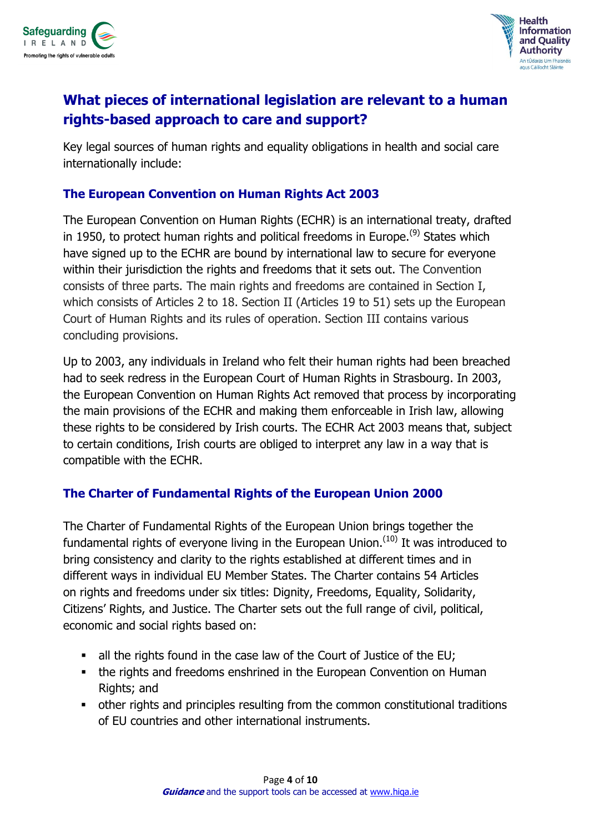



# **What pieces of international legislation are relevant to a human rights-based approach to care and support?**

Key legal sources of human rights and equality obligations in health and social care internationally include:

### **The European Convention on Human Rights Act 2003**

The European Convention on Human Rights (ECHR) is an international treaty, drafted in 1950, to protect human rights and political freedoms in Europe.<sup>(9)</sup> States which have signed up to the ECHR are bound by international law to secure for everyone within their jurisdiction the rights and freedoms that it sets out. The Convention consists of three parts. The main rights and freedoms are contained in Section I, which consists of Articles 2 to 18. Section II (Articles 19 to 51) sets up the European Court of Human Rights and its rules of operation. Section III contains various concluding provisions.

Up to 2003, any individuals in Ireland who felt their human rights had been breached had to seek redress in the European Court of Human Rights in Strasbourg. In 2003, the European Convention on Human Rights Act removed that process by incorporating the main provisions of the ECHR and making them enforceable in Irish law, allowing these rights to be considered by Irish courts. The ECHR Act 2003 means that, subject to certain conditions, Irish courts are obliged to interpret any law in a way that is compatible with the ECHR.

### **The Charter of Fundamental Rights of the European Union 2000**

The Charter of Fundamental Rights of the European Union brings together the fundamental rights of everyone living in the European Union.<sup>(10)</sup> It was introduced to bring consistency and clarity to the rights established at different times and in different ways in individual EU Member States. The Charter contains 54 Articles on rights and freedoms under six titles: Dignity, Freedoms, Equality, Solidarity, Citizens' Rights, and Justice. The Charter sets out the full range of civil, political, economic and social rights based on:

- all the rights found in the case law of the Court of Justice of the EU;
- the rights and freedoms enshrined in the European Convention on Human Rights; and
- other rights and principles resulting from the common constitutional traditions of EU countries and other international instruments.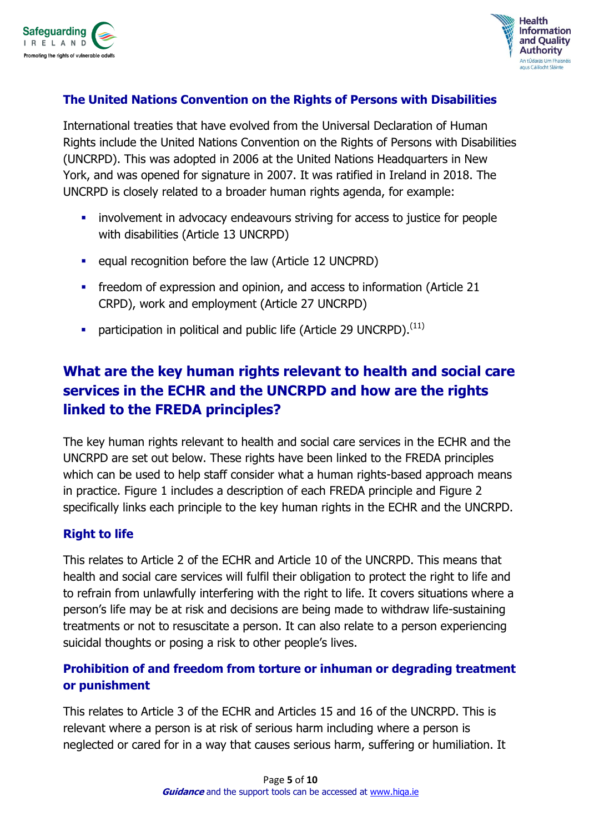



### **The United Nations Convention on the Rights of Persons with Disabilities**

International treaties that have evolved from the Universal Declaration of Human Rights include the United Nations Convention on the Rights of Persons with Disabilities (UNCRPD). This was adopted in 2006 at the United Nations Headquarters in New York, and was opened for signature in 2007. It was ratified in Ireland in 2018. The UNCRPD is closely related to a broader human rights agenda, for example:

- **EXECT** involvement in advocacy endeavours striving for access to justice for people with disabilities (Article 13 UNCRPD)
- **EXECUTE:** equal recognition before the law (Article 12 UNCPRD)
- **FIGER** freedom of expression and opinion, and access to information (Article 21 CRPD), work and employment (Article 27 UNCRPD)
- **•** participation in political and public life (Article 29 UNCRPD).<sup>(11)</sup>

# **What are the key human rights relevant to health and social care services in the ECHR and the UNCRPD and how are the rights linked to the FREDA principles?**

The key human rights relevant to health and social care services in the ECHR and the UNCRPD are set out below. These rights have been linked to the FREDA principles which can be used to help staff consider what a human rights-based approach means in practice. Figure 1 includes a description of each FREDA principle and Figure 2 specifically links each principle to the key human rights in the ECHR and the UNCRPD.

### **Right to life**

This relates to Article 2 of the ECHR and Article 10 of the UNCRPD. This means that health and social care services will fulfil their obligation to protect the right to life and to refrain from unlawfully interfering with the right to life. It covers situations where a person's life may be at risk and decisions are being made to withdraw life-sustaining treatments or not to resuscitate a person. It can also relate to a person experiencing suicidal thoughts or posing a risk to other people's lives.

## **Prohibition of and freedom from torture or inhuman or degrading treatment or punishment**

This relates to Article 3 of the ECHR and Articles 15 and 16 of the UNCRPD. This is relevant where a person is at risk of serious harm including where a person is neglected or cared for in a way that causes serious harm, suffering or humiliation. It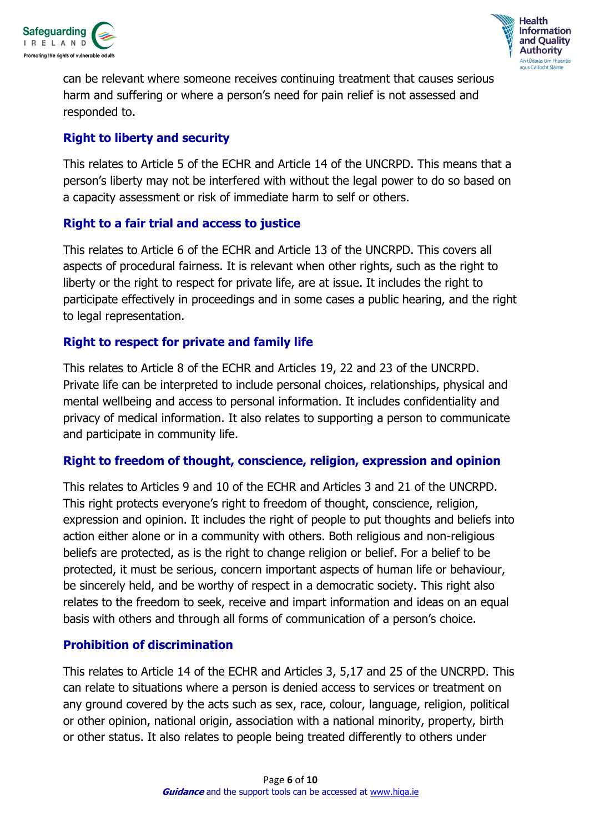



can be relevant where someone receives continuing treatment that causes serious harm and suffering or where a person's need for pain relief is not assessed and responded to.

#### **Right to liberty and security**

This relates to Article 5 of the ECHR and Article 14 of the UNCRPD. This means that a person's liberty may not be interfered with without the legal power to do so based on a capacity assessment or risk of immediate harm to self or others.

### **Right to a fair trial and access to justice**

This relates to Article 6 of the ECHR and Article 13 of the UNCRPD. This covers all aspects of procedural fairness. It is relevant when other rights, such as the right to liberty or the right to respect for private life, are at issue. It includes the right to participate effectively in proceedings and in some cases a public hearing, and the right to legal representation.

### **Right to respect for private and family life**

This relates to Article 8 of the ECHR and Articles 19, 22 and 23 of the UNCRPD. Private life can be interpreted to include personal choices, relationships, physical and mental wellbeing and access to personal information. It includes confidentiality and privacy of medical information. It also relates to supporting a person to communicate and participate in community life.

#### **Right to freedom of thought, conscience, religion, expression and opinion**

This relates to Articles 9 and 10 of the ECHR and Articles 3 and 21 of the UNCRPD. This right protects everyone's right to freedom of thought, conscience, religion, expression and opinion. It includes the right of people to put thoughts and beliefs into action either alone or in a community with others. Both religious and non-religious beliefs are protected, as is the right to change religion or belief. For a belief to be protected, it must be serious, concern important aspects of human life or behaviour, be sincerely held, and be worthy of respect in a democratic society. This right also relates to the freedom to seek, receive and impart information and ideas on an equal basis with others and through all forms of communication of a person's choice.

#### **Prohibition of discrimination**

This relates to Article 14 of the ECHR and Articles 3, 5,17 and 25 of the UNCRPD. This can relate to situations where a person is denied access to services or treatment on any ground covered by the acts such as sex, race, colour, language, religion, political or other opinion, national origin, association with a national minority, property, birth or other status. It also relates to people being treated differently to others under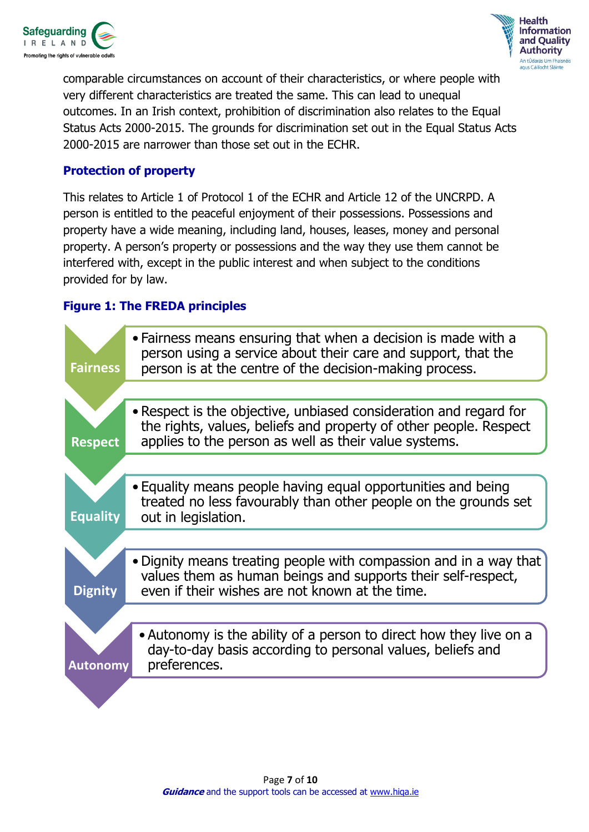



comparable circumstances on account of their characteristics, or where people with very different characteristics are treated the same. This can lead to unequal outcomes. In an Irish context, prohibition of discrimination also relates to the Equal Status Acts 2000-2015. The grounds for discrimination set out in the Equal Status Acts 2000-2015 are narrower than those set out in the ECHR.

#### **Protection of property**

This relates to Article 1 of Protocol 1 of the ECHR and Article 12 of the UNCRPD. A person is entitled to the peaceful enjoyment of their possessions. Possessions and property have a wide meaning, including land, houses, leases, money and personal property. A person's property or possessions and the way they use them cannot be interfered with, except in the public interest and when subject to the conditions provided for by law.

### **Figure 1: The FREDA principles**

| <b>Fairness</b> | • Fairness means ensuring that when a decision is made with a<br>person using a service about their care and support, that the<br>person is at the centre of the decision-making process.       |
|-----------------|-------------------------------------------------------------------------------------------------------------------------------------------------------------------------------------------------|
|                 |                                                                                                                                                                                                 |
| <b>Respect</b>  | • Respect is the objective, unbiased consideration and regard for<br>the rights, values, beliefs and property of other people. Respect<br>applies to the person as well as their value systems. |
|                 |                                                                                                                                                                                                 |
| <b>Equality</b> | • Equality means people having equal opportunities and being<br>treated no less favourably than other people on the grounds set<br>out in legislation.                                          |
|                 |                                                                                                                                                                                                 |
| <b>Dignity</b>  | . Dignity means treating people with compassion and in a way that<br>values them as human beings and supports their self-respect,<br>even if their wishes are not known at the time.            |
|                 |                                                                                                                                                                                                 |
| <b>Autonomy</b> | • Autonomy is the ability of a person to direct how they live on a<br>day-to-day basis according to personal values, beliefs and<br>preferences.                                                |
|                 |                                                                                                                                                                                                 |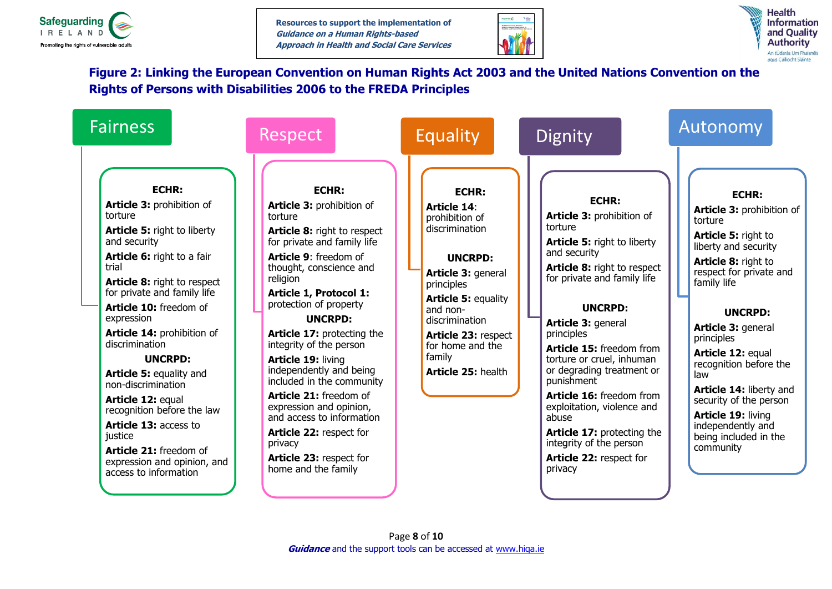

**Resources to support the implementation of Guidance on a Human Rights-based Approach in Health and Social Care Services**





### **Figure 2: Linking the European Convention on Human Rights Act 2003 and the United Nations Convention on the Rights of Persons with Disabilities 2006 to the FREDA Principles**

| <b>Fairness</b>                                                                                                                                                                                                                                                                                                                                                                                                                                                                                                                                                          | Respect                                                                                                                                                                                                                                                                                                                                                                                                                                                                                                                                                                   | <b>Equality</b>                                                                                                                                                                                                                                                              | Dignity                                                                                                                                                                                                                                                                                                                                                                                                                                                                                              | Autonomy                                                                                                                                                                                                                                                                                                                                                                                                                             |
|--------------------------------------------------------------------------------------------------------------------------------------------------------------------------------------------------------------------------------------------------------------------------------------------------------------------------------------------------------------------------------------------------------------------------------------------------------------------------------------------------------------------------------------------------------------------------|---------------------------------------------------------------------------------------------------------------------------------------------------------------------------------------------------------------------------------------------------------------------------------------------------------------------------------------------------------------------------------------------------------------------------------------------------------------------------------------------------------------------------------------------------------------------------|------------------------------------------------------------------------------------------------------------------------------------------------------------------------------------------------------------------------------------------------------------------------------|------------------------------------------------------------------------------------------------------------------------------------------------------------------------------------------------------------------------------------------------------------------------------------------------------------------------------------------------------------------------------------------------------------------------------------------------------------------------------------------------------|--------------------------------------------------------------------------------------------------------------------------------------------------------------------------------------------------------------------------------------------------------------------------------------------------------------------------------------------------------------------------------------------------------------------------------------|
| <b>ECHR:</b><br>Article 3: prohibition of<br>torture<br><b>Article 5: right to liberty</b><br>and security<br>Article 6: right to a fair<br>trial<br><b>Article 8: right to respect</b><br>for private and family life<br>Article 10: freedom of<br>expression<br>Article 14: prohibition of<br>discrimination<br><b>UNCRPD:</b><br><b>Article 5: equality and</b><br>non-discrimination<br>Article 12: equal<br>recognition before the law<br><b>Article 13: access to</b><br>justice<br>Article 21: freedom of<br>expression and opinion, and<br>access to information | <b>ECHR:</b><br>Article 3: prohibition of<br>torture<br>Article 8: right to respect<br>for private and family life<br>Article 9: freedom of<br>thought, conscience and<br>religion<br>Article 1, Protocol 1:<br>protection of property<br><b>UNCRPD:</b><br>Article 17: protecting the<br>integrity of the person<br>Article 19: living<br>independently and being<br>included in the community<br>Article 21: freedom of<br>expression and opinion,<br>and access to information<br>Article 22: respect for<br>privacy<br>Article 23: respect for<br>home and the family | <b>ECHR:</b><br>Article 14:<br>prohibition of<br>discrimination<br><b>UNCRPD:</b><br>Article 3: general<br>principles<br><b>Article 5: equality</b><br>and non-<br>discrimination<br>Article 23: respect<br>for home and the<br>family<br>Article 25: health<br>Page 8 of 10 | <b>ECHR:</b><br>Article 3: prohibition of<br>torture<br><b>Article 5: right to liberty</b><br>and security<br>Article 8: right to respect<br>for private and family life<br><b>UNCRPD:</b><br>Article 3: general<br>principles<br>Article 15: freedom from<br>torture or cruel, inhuman<br>or degrading treatment or<br>punishment<br>Article 16: freedom from<br>exploitation, violence and<br>abuse<br>Article 17: protecting the<br>integrity of the person<br>Article 22: respect for<br>privacy | <b>ECHR:</b><br>Article 3: prohibition of<br>torture<br><b>Article 5: right to</b><br>liberty and security<br>Article 8: right to<br>respect for private and<br>family life<br><b>UNCRPD:</b><br>Article 3: general<br>principles<br>Article 12: equal<br>recognition before the<br>law<br>Article 14: liberty and<br>security of the person<br><b>Article 19: living</b><br>independently and<br>being included in the<br>community |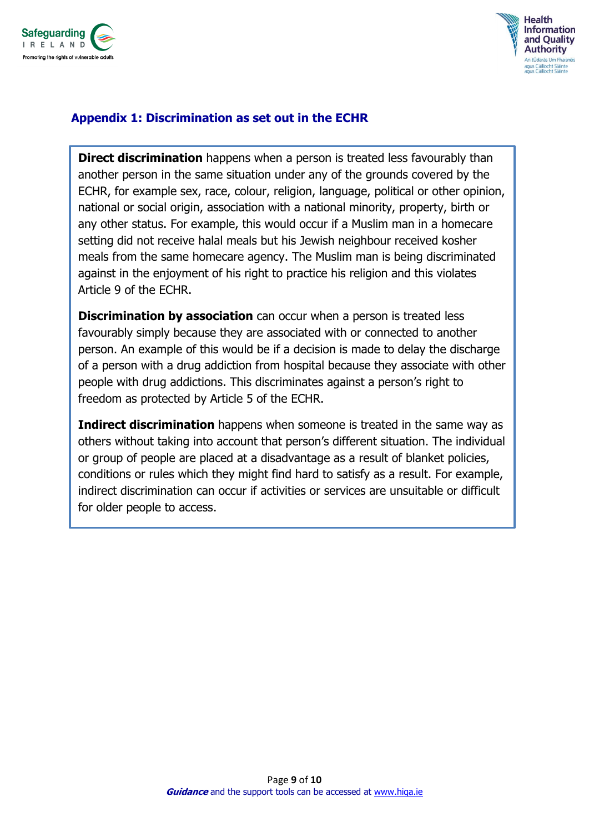



#### **Appendix 1: Discrimination as set out in the ECHR**

**Direct discrimination** happens when a person is treated less favourably than another person in the same situation under any of the grounds covered by the ECHR, for example sex, race, colour, religion, language, political or other opinion, national or social origin, association with a national minority, property, birth or any other status. For example, this would occur if a Muslim man in a homecare setting did not receive halal meals but his Jewish neighbour received kosher meals from the same homecare agency. The Muslim man is being discriminated against in the enjoyment of his right to practice his religion and this violates Article 9 of the ECHR.

**Discrimination by association** can occur when a person is treated less favourably simply because they are associated with or connected to another person. An example of this would be if a decision is made to delay the discharge of a person with a drug addiction from hospital because they associate with other people with drug addictions. This discriminates against a person's right to freedom as protected by Article 5 of the ECHR.

**Indirect discrimination** happens when someone is treated in the same way as others without taking into account that person's different situation. The individual or group of people are placed at a disadvantage as a result of blanket policies, conditions or rules which they might find hard to satisfy as a result. For example, indirect discrimination can occur if activities or services are unsuitable or difficult for older people to access.